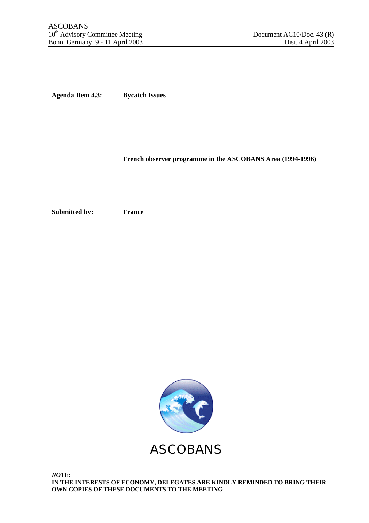**Agenda Item 4.3: Bycatch Issues**

## **French observer programme in the ASCOBANS Area (1994-1996)**

**Submitted by: France**

ASCOBANS

*NOTE:* **IN THE INTERESTS OF ECONOMY, DELEGATES ARE KINDLY REMINDED TO BRING THEIR OWN COPIES OF THESE DOCUMENTS TO THE MEETING**